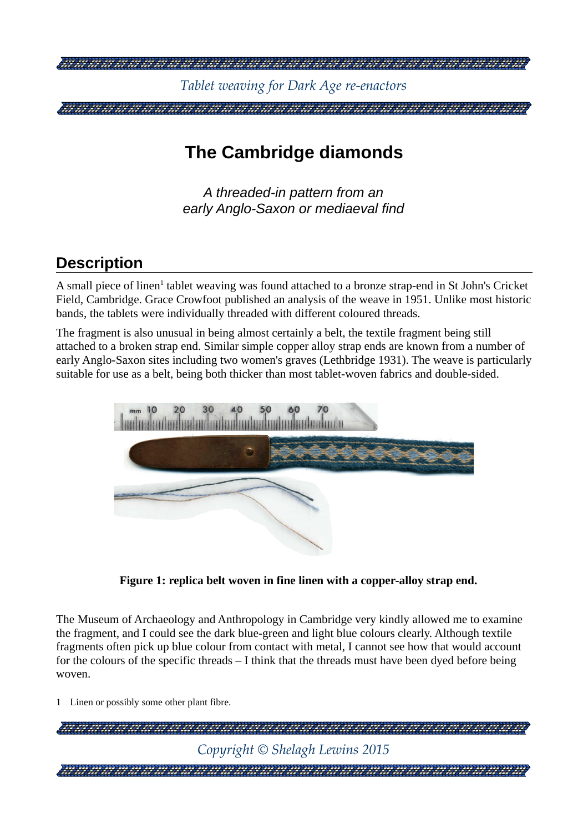

# **The Cambridge diamonds**

*A threaded-in pattern from an early Anglo-Saxon or mediaeval find*

## **Description**

A small piece of linen<sup>[1](#page-0-0)</sup> tablet weaving was found attached to a bronze strap-end in St John's Cricket Field, Cambridge. Grace Crowfoot published an analysis of the weave in 1951. Unlike most historic bands, the tablets were individually threaded with different coloured threads.

The fragment is also unusual in being almost certainly a belt, the textile fragment being still attached to a broken strap end. Similar simple copper alloy strap ends are known from a number of early Anglo-Saxon sites including two women's graves (Lethbridge 1931). The weave is particularly suitable for use as a belt, being both thicker than most tablet-woven fabrics and double-sided.



**Figure 1: replica belt woven in fine linen with a copper-alloy strap end.**

The Museum of Archaeology and Anthropology in Cambridge very kindly allowed me to examine the fragment, and I could see the dark blue-green and light blue colours clearly. Although textile fragments often pick up blue colour from contact with metal, I cannot see how that would account for the colours of the specific threads – I think that the threads must have been dyed before being woven.

<span id="page-0-0"></span>1 Linen or possibly some other plant fibre.

| Copyright $\odot$ Shelagh Lewins 2015 |
|---------------------------------------|
|                                       |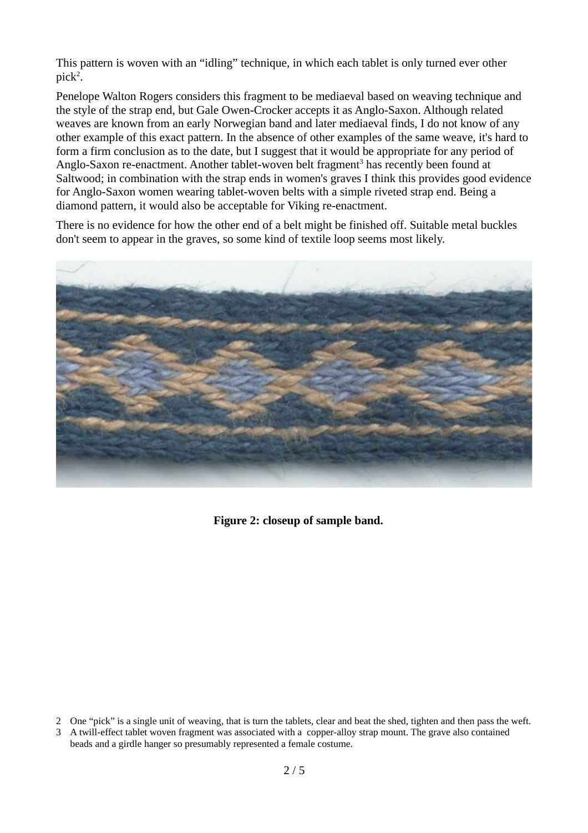This pattern is woven with an "idling" technique, in which each tablet is only turned ever other  $pick<sup>2</sup>$  $pick<sup>2</sup>$  $pick<sup>2</sup>$ .

Penelope Walton Rogers considers this fragment to be mediaeval based on weaving technique and the style of the strap end, but Gale Owen-Crocker accepts it as Anglo-Saxon. Although related weaves are known from an early Norwegian band and later mediaeval finds, I do not know of any other example of this exact pattern. In the absence of other examples of the same weave, it's hard to form a firm conclusion as to the date, but I suggest that it would be appropriate for any period of Anglo-Saxon re-enactment. Another tablet-woven belt fragment<sup>[3](#page-1-1)</sup> has recently been found at Saltwood; in combination with the strap ends in women's graves I think this provides good evidence for Anglo-Saxon women wearing tablet-woven belts with a simple riveted strap end. Being a diamond pattern, it would also be acceptable for Viking re-enactment.

There is no evidence for how the other end of a belt might be finished off. Suitable metal buckles don't seem to appear in the graves, so some kind of textile loop seems most likely.



**Figure 2: closeup of sample band.**

<span id="page-1-0"></span><sup>2</sup> One "pick" is a single unit of weaving, that is turn the tablets, clear and beat the shed, tighten and then pass the weft.

<span id="page-1-1"></span><sup>3</sup> A twill-effect tablet woven fragment was associated with a copper-alloy strap mount. The grave also contained beads and a girdle hanger so presumably represented a female costume.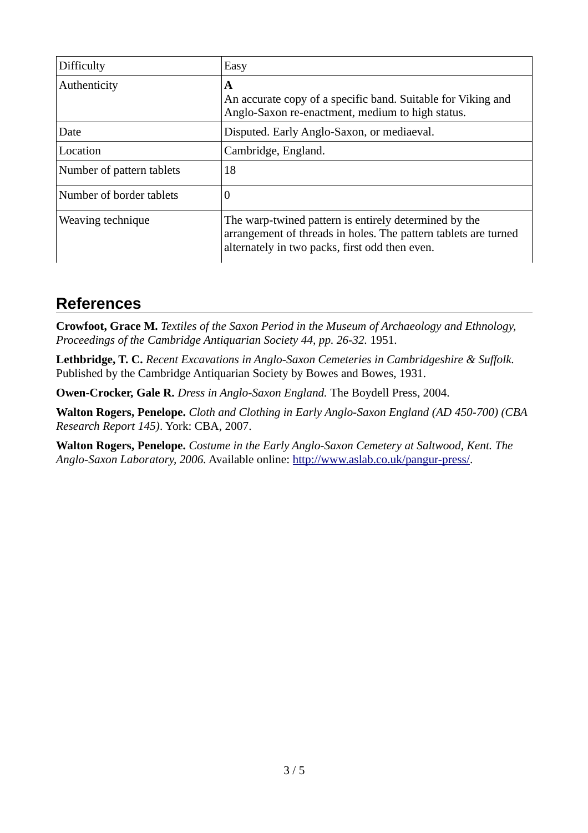| Difficulty                | Easy                                                                                                                                                                       |
|---------------------------|----------------------------------------------------------------------------------------------------------------------------------------------------------------------------|
| Authenticity              | A<br>An accurate copy of a specific band. Suitable for Viking and<br>Anglo-Saxon re-enactment, medium to high status.                                                      |
| Date                      | Disputed. Early Anglo-Saxon, or mediaeval.                                                                                                                                 |
| Location                  | Cambridge, England.                                                                                                                                                        |
| Number of pattern tablets | 18                                                                                                                                                                         |
| Number of border tablets  | $\overline{0}$                                                                                                                                                             |
| Weaving technique         | The warp-twined pattern is entirely determined by the<br>arrangement of threads in holes. The pattern tablets are turned<br>alternately in two packs, first odd then even. |

### **References**

**Crowfoot, Grace M.** *Textiles of the Saxon Period in the Museum of Archaeology and Ethnology, Proceedings of the Cambridge Antiquarian Society 44, pp. 26-32.* 1951.

**Lethbridge, T. C.** *Recent Excavations in Anglo-Saxon Cemeteries in Cambridgeshire & Suffolk.*  Published by the Cambridge Antiquarian Society by Bowes and Bowes, 1931.

**Owen-Crocker, Gale R.** *Dress in Anglo-Saxon England.* The Boydell Press, 2004.

**Walton Rogers, Penelope.** *Cloth and Clothing in Early Anglo-Saxon England (AD 450-700) (CBA Research Report 145)*. York: CBA, 2007.

**Walton Rogers, Penelope.** *Costume in the Early Anglo-Saxon Cemetery at Saltwood, Kent. The Anglo-Saxon Laboratory, 2006.* Available online: [http://www.aslab.co.uk/pangur-press/.](http://www.aslab.co.uk/pangur-press/)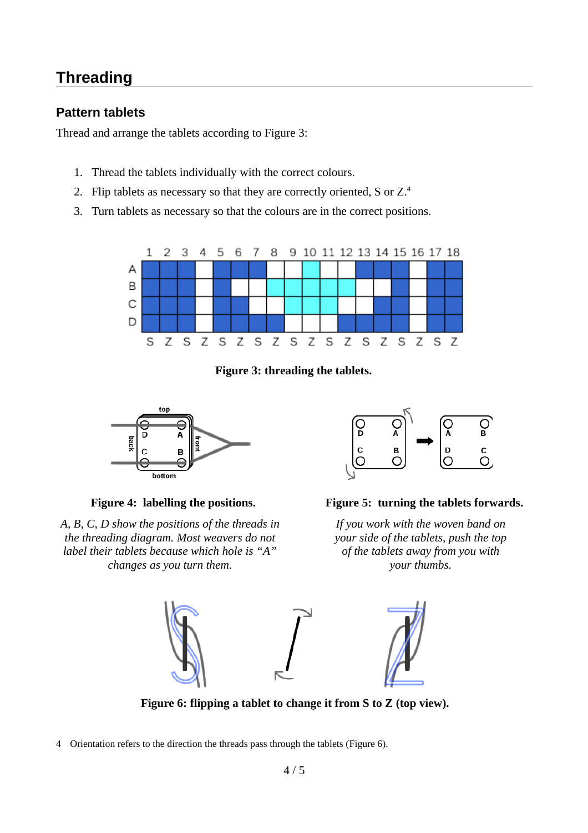### **Threading**

### **Pattern tablets**

Thread and arrange the tablets according to [Figure 3:](#page-3-0)

- 1. Thread the tablets individually with the correct colours.
- 2. Flip tablets as necessary so that they are correctly oriented, S or Z.<sup>[4](#page-3-2)</sup>
- 3. Turn tablets as necessary so that the colours are in the correct positions.



<span id="page-3-0"></span>**Figure 3: threading the tablets.**



*A, B, C, D show the positions of the threads in the threading diagram. Most weavers do not label their tablets because which hole is "A" changes as you turn them.*



#### **Figure 4: labelling the positions. Figure 5: turning the tablets forwards.**

*If you work with the woven band on your side of the tablets, push the top of the tablets away from you with your thumbs.*



<span id="page-3-1"></span>**Figure 6: flipping a tablet to change it from S to Z (top view).**

<span id="page-3-2"></span>4 Orientation refers to the direction the threads pass through the tablets [\(Figure 6\)](#page-3-1).